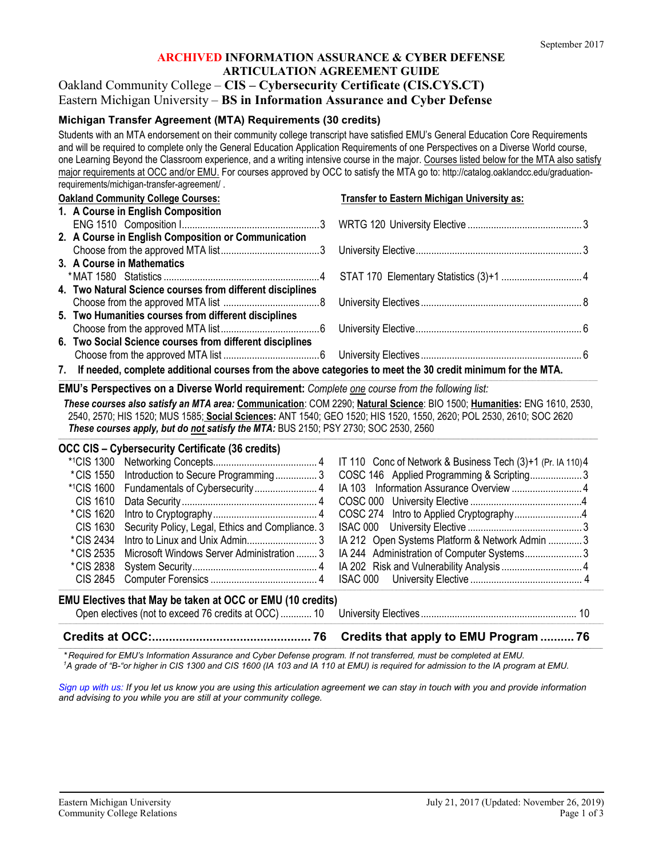# **ARCHIVED INFORMATION ASSURANCE & CYBER DEFENSE ARTICULATION AGREEMENT GUIDE**

# Oakland Community College – **CIS – Cybersecurity Certificate (CIS.CYS.CT)** Eastern Michigan University – **BS in Information Assurance and Cyber Defense**

# **Michigan Transfer Agreement (MTA) Requirements (30 credits)**

Students with an MTA endorsement on their community college transcript have satisfied EMU's General Education Core Requirements and will be required to complete only the General Education Application Requirements of one Perspectives on a Diverse World course, one Learning Beyond the Classroom experience, and a writing intensive course in the major. Courses listed below for the MTA also satisfy major requirements at OCC and/or EMU. For courses approved by OCC to satisfy the MTA go to: http://catalog.oaklandcc.edu/graduationrequirements/michigan-transfer-agreement/ .

| <b>Oakland Community College Courses:</b> |                                                                                                                | Transfer to Eastern Michigan University as: |  |
|-------------------------------------------|----------------------------------------------------------------------------------------------------------------|---------------------------------------------|--|
|                                           | 1. A Course in English Composition                                                                             |                                             |  |
|                                           |                                                                                                                |                                             |  |
|                                           | 2. A Course in English Composition or Communication                                                            |                                             |  |
|                                           |                                                                                                                |                                             |  |
|                                           | 3. A Course in Mathematics                                                                                     |                                             |  |
|                                           |                                                                                                                |                                             |  |
|                                           | 4. Two Natural Science courses from different disciplines                                                      |                                             |  |
|                                           |                                                                                                                |                                             |  |
|                                           | 5. Two Humanities courses from different disciplines                                                           |                                             |  |
|                                           |                                                                                                                |                                             |  |
|                                           | 6. Two Social Science courses from different disciplines                                                       |                                             |  |
|                                           |                                                                                                                |                                             |  |
|                                           | 7. If needed, complete additional courses from the above categories to meet the 30 credit minimum for the MTA. |                                             |  |

#### **EMU's Perspectives on a Diverse World requirement:** *Complete one course from the following list:*

*These courses also satisfy an MTA area:* **Communication**: COM 2290; **Natural Science**: BIO 1500; **Humanities:** ENG 1610, 2530, 2540, 2570; HIS 1520; MUS 1585; **Social Sciences:** ANT 1540; GEO 1520; HIS 1520, 1550, 2620; POL 2530, 2610; SOC 2620 *These courses apply, but do not satisfy the MTA:* BUS 2150; PSY 2730; SOC 2530, 2560

*\_\_\_\_\_\_\_\_\_\_\_\_\_\_\_\_\_\_\_\_\_\_\_\_\_\_\_\_\_\_\_\_\_\_\_\_\_\_\_\_\_\_\_\_\_\_\_\_\_\_\_\_\_\_\_\_\_\_\_\_\_\_\_\_\_\_\_\_\_\_\_\_\_\_\_\_\_\_\_\_\_\_\_\_\_\_\_\_\_\_\_\_\_\_\_\_\_\_\_\_\_\_\_\_\_\_\_\_\_\_\_\_\_\_\_\_\_\_\_\_\_\_\_\_\_\_\_\_\_\_\_\_\_\_\_\_\_\_\_\_\_\_\_\_\_\_\_\_\_\_\_\_\_\_\_\_\_\_\_\_\_\_\_\_\_\_\_\_\_\_\_\_\_\_\_\_\_\_\_\_\_\_\_\_\_\_\_\_\_\_\_\_\_\_\_\_\_\_\_\_\_\_\_\_\_\_\_\_\_\_\_\_\_\_\_\_\_\_\_\_\_\_\_\_*

**\_\_\_\_\_\_\_\_\_\_\_\_\_\_\_\_\_\_\_\_\_\_\_\_\_\_\_\_\_\_\_\_\_\_\_\_\_\_\_\_\_\_\_\_\_\_\_\_\_\_\_\_\_\_\_\_\_\_\_\_\_\_\_\_\_\_\_\_\_\_\_\_\_\_\_\_\_\_\_\_\_\_\_\_\_\_\_\_\_\_\_\_\_\_\_\_\_\_\_\_\_\_\_\_\_\_\_\_\_\_\_\_\_\_\_\_\_\_\_\_\_\_\_\_\_\_\_\_\_\_\_\_\_\_\_\_\_\_\_\_\_\_\_\_\_\_\_\_\_\_\_\_\_\_\_\_\_\_\_\_\_\_\_\_\_\_\_\_\_\_\_\_\_\_\_\_\_\_\_\_\_\_\_\_\_\_\_\_\_\_\_\_\_\_\_\_\_\_\_\_\_\_\_\_\_\_\_\_\_\_\_\_\_\_\_\_\_\_\_\_\_\_\_\_\_\_\_\_\_\_\_\_\_\_\_\_\_\_\_\_\_\_\_\_\_\_\_\_\_\_\_\_\_\_\_\_\_\_\_\_\_\_\_\_\_\_\_\_\_\_\_\_\_**

| <b>OCC CIS – Cybersecurity Certificate (36 credits)</b>           |                                                  |                                                |  |  |
|-------------------------------------------------------------------|--------------------------------------------------|------------------------------------------------|--|--|
|                                                                   |                                                  |                                                |  |  |
|                                                                   | *CIS 1550 Introduction to Secure Programming 3   | COSC 146 Applied Programming & Scripting3      |  |  |
|                                                                   |                                                  |                                                |  |  |
| CIS 1610                                                          |                                                  |                                                |  |  |
| *CIS 1620                                                         |                                                  |                                                |  |  |
| CIS 1630                                                          | Security Policy, Legal, Ethics and Compliance. 3 |                                                |  |  |
| *CIS 2434                                                         |                                                  | IA 212 Open Systems Platform & Network Admin 3 |  |  |
|                                                                   |                                                  |                                                |  |  |
| *CIS 2838                                                         |                                                  |                                                |  |  |
|                                                                   |                                                  |                                                |  |  |
| <b>EMU Electives that May be taken at OCC or EMU (10 credits)</b> |                                                  |                                                |  |  |
|                                                                   |                                                  |                                                |  |  |

#### ,我们也不能在这里的时候,我们也不能在这里的时候,我们也不能在这里的时候,我们也不能不能在这里的时候,我们也不能不能不能会不能不能会不能不能会不能会不能会不能会不 **Credits at OCC:............................................... 76 Credits that apply to EMU Program .......... 76** \_\_\_\_\_\_\_\_\_\_\_\_\_\_\_\_\_\_\_\_\_\_\_\_\_\_\_\_\_\_\_\_\_\_\_\_\_\_\_\_\_\_\_\_\_\_\_\_\_\_\_\_\_\_\_\_\_\_\_\_\_\_\_\_\_\_\_\_\_\_\_\_\_\_\_\_\_\_\_\_\_\_\_\_\_\_\_\_\_\_\_\_\_\_\_\_\_\_\_\_\_\_\_\_\_\_\_\_\_\_\_\_\_\_\_\_\_\_\_\_\_\_\_\_\_\_\_\_\_\_\_\_\_\_\_\_\_\_\_\_\_\_\_\_\_\_\_\_\_\_\_\_\_\_\_\_\_\_\_\_\_\_\_\_\_\_\_\_\_\_\_\_\_\_\_\_\_\_\_\_\_\_\_\_\_\_\_\_\_\_\_\_\_\_\_\_\_\_\_\_\_\_\_\_\_\_\_\_\_\_\_\_\_\_\_\_\_\_\_\_\_\_\_\_\_\_

*\* Required for EMU's Information Assurance and Cyber Defense program. If not transferred, must be completed at EMU. 1 A grade of "B-"or higher in CIS 1300 and CIS 1600 (IA 103 and IA 110 at EMU) is required for admission to the IA program at EMU.*

*[Sign up with us:](https://www.emich.edu/ccr/articulation-agreements/signup.php) If you let us know you are using this articulation agreement we can stay in touch with you and provide information and advising to you while you are still at your community college.*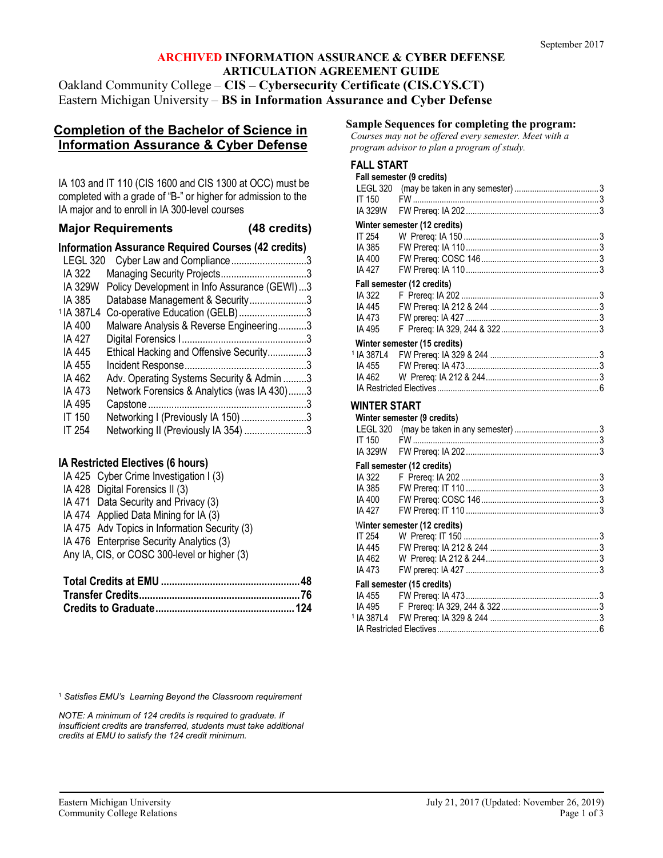#### **ARCHIVED INFORMATION ASSURANCE & CYBER DEFENSE ARTICULATION AGREEMENT GUIDE** Oakland Community College – **CIS – Cybersecurity Certificate (CIS.CYS.CT)** Eastern Michigan University – **BS in Information Assurance and Cyber Defense**

# **Completion of the Bachelor of Science in Information Assurance & Cyber Defense**

IA 103 and IT 110 (CIS 1600 and CIS 1300 at OCC) must be completed with a grade of "B-" or higher for admission to the IA major and to enroll in IA 300-level courses

## **Major Requirements (48 credits)**

**Information Assurance Required Courses (42 credits)**

| <b>LEGL 320</b>       | Cyber Law and Compliance3                    |  |
|-----------------------|----------------------------------------------|--|
| IA 322                |                                              |  |
| IA 329W               | Policy Development in Info Assurance (GEWI)3 |  |
| IA 385                | Database Management & Security3              |  |
| <sup>1</sup> IA 387L4 | Co-operative Education (GELB)3               |  |
| IA 400                | Malware Analysis & Reverse Engineering3      |  |
| IA 427                |                                              |  |
| IA 445                | Ethical Hacking and Offensive Security3      |  |
| IA 455                |                                              |  |
| IA 462                | Adv. Operating Systems Security & Admin 3    |  |
| IA 473                | Network Forensics & Analytics (was IA 430)3  |  |
| IA 495                |                                              |  |
| <b>IT 150</b>         | Networking I (Previously IA 150) 3           |  |
| IT 254                | Networking II (Previously IA 354) 3          |  |
|                       |                                              |  |

## **IA Restricted Electives (6 hours)**

| IA 425 Cyber Crime Investigation I (3)        |
|-----------------------------------------------|
| IA 428 Digital Forensics II (3)               |
| IA 471 Data Security and Privacy (3)          |
| IA 474 Applied Data Mining for IA (3)         |
| IA 475 Adv Topics in Information Security (3) |
| IA 476 Enterprise Security Analytics (3)      |
| Any IA, CIS, or COSC 300-level or higher (3)  |
|                                               |

**Sample Sequences for completing the program:**

*Courses may not be offered every semester. Meet with a program advisor to plan a program of study.*

#### **FALL START**

| Fall semester (9 credits)       |                              |  |  |  |
|---------------------------------|------------------------------|--|--|--|
|                                 |                              |  |  |  |
| <b>IT 150</b>                   |                              |  |  |  |
| <b>IA 329W</b>                  |                              |  |  |  |
| Winter semester (12 credits)    |                              |  |  |  |
| IT 254                          |                              |  |  |  |
| IA 385                          |                              |  |  |  |
| IA 400                          |                              |  |  |  |
| IA 427                          |                              |  |  |  |
|                                 | Fall semester (12 credits)   |  |  |  |
| IA 322                          |                              |  |  |  |
| IA 445                          |                              |  |  |  |
| IA 473<br>IA 495                |                              |  |  |  |
|                                 |                              |  |  |  |
|                                 | Winter semester (15 credits) |  |  |  |
| <sup>1</sup> IA 387L4<br>IA 455 |                              |  |  |  |
| IA 462                          |                              |  |  |  |
|                                 |                              |  |  |  |
|                                 |                              |  |  |  |
| WINTER START                    |                              |  |  |  |
|                                 | Winter semester (9 credits)  |  |  |  |
|                                 |                              |  |  |  |
| IT 150                          |                              |  |  |  |
| IA 329W                         |                              |  |  |  |
|                                 | Fall semester (12 credits)   |  |  |  |
| IA 322                          |                              |  |  |  |
| IA 385<br>IA 400                |                              |  |  |  |
|                                 |                              |  |  |  |

|        | Winter semester (12 credits) |  |
|--------|------------------------------|--|
|        |                              |  |
| IA 445 |                              |  |
|        |                              |  |
| IA 473 |                              |  |
|        | Fall semester (15 credits)   |  |
|        |                              |  |
|        |                              |  |
|        |                              |  |
|        |                              |  |

<sup>1</sup> *Satisfies EMU's Learning Beyond the Classroom requirement*

*NOTE: A minimum of 124 credits is required to graduate. If insufficient credits are transferred, students must take additional credits at EMU to satisfy the 124 credit minimum.*